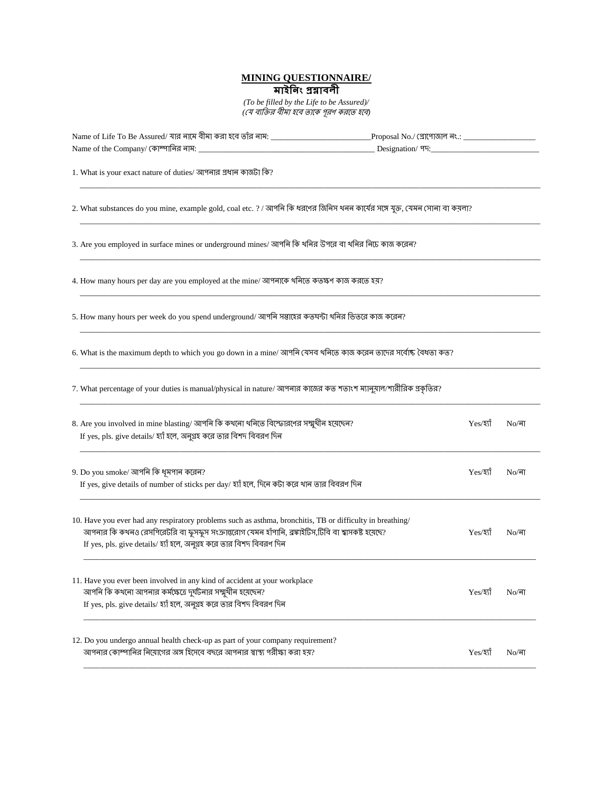## **MINING QUESTIONNAIRE/**

*(To be filled by the Life to be Assured)/* (যে ব্যক্তির বীমা হবে তাকে পূরণ করতে হবে)

| Name of Life To Be Assured/ যার নামে বীমা করা হবে তাঁর নাম: _____________________                                                                                                                                                                                                        |              |                     |  |  |
|------------------------------------------------------------------------------------------------------------------------------------------------------------------------------------------------------------------------------------------------------------------------------------------|--------------|---------------------|--|--|
|                                                                                                                                                                                                                                                                                          |              |                     |  |  |
| 1. What is your exact nature of duties/ আপনার প্রধান কাজটা কি?                                                                                                                                                                                                                           |              |                     |  |  |
| 2. What substances do you mine, example gold, coal etc. ? / আপনি কি ধরণের জিনিস থনন কার্যের সঙ্গে যুক্ত, যেমন সোনা বা কয়লা?                                                                                                                                                             |              |                     |  |  |
| 3. Are you employed in surface mines or underground mines/ আপনি কি থনির উপরে বা থনির নিচে কাজ করেন?                                                                                                                                                                                      |              |                     |  |  |
| 4. How many hours per day are you employed at the mine/ আপনাকে থনিতে কতক্ষণ কাজ করতে হয়?                                                                                                                                                                                                |              |                     |  |  |
| 5. How many hours per week do you spend underground/ আপনি সম্ভাহের কতঘন্টা থনির ভিতরে কাজ করেন?                                                                                                                                                                                          |              |                     |  |  |
| 6. What is the maximum depth to which you go down in a mine/ আপনি যেসব থনিতে কাজ করেন তাদের সর্বোষ্ট বৈধতা কত?                                                                                                                                                                           |              |                     |  |  |
| 7. What percentage of your duties is manual/physical in nature/ আপনার কাজের কত শতাংশ ম্যানুয়াল/শারীরিক প্রকৃতির?                                                                                                                                                                        |              |                     |  |  |
| 8. Are you involved in mine blasting/ আপনি কি কথনো থনিতে বিস্ফোরণের সম্মুখীন হয়েছেন?<br>If yes, pls. give details/ হ্যাঁ হলে, অনুগ্ৰহ করে তার বিশদ বিবরণ দিন                                                                                                                            | $Yes/3$ স    | $No/\sqrt{a}$       |  |  |
| 9. Do you smoke/ আপনি কি ধূমপান করেন?<br>If yes, give details of number of sticks per day/ হ্যাঁ হলে, দিনে কটা করে থান তার বিবরণ দিন                                                                                                                                                     | Yes/30       | $No/\overline{a}$ া |  |  |
| 10. Have you ever had any respiratory problems such as asthma, bronchitis, TB or difficulty in breathing/<br>আপনার কি কথনও রেসপিরেটরি বা ফুসফুস সংক্রান্তরোগ যেমন হাঁপানি, ব্রঙ্গাইটিস,টিবি বা শ্বাসকষ্ট হয়েছে?<br>If yes, pls. give details/ হ্যাঁ হলে, অনুগ্রহ করে তার বিশদ বিবরণ দিন | Yes/30       | $No/\overline{a}$   |  |  |
| 11. Have you ever been involved in any kind of accident at your workplace<br>আপনি কি কথনো আপনার কর্মক্ষেত্রে দুর্ঘটনার সম্মুখীন হয়েছেন?<br>If yes, pls. give details/ হ্যাঁ হলে, অনুগ্রহ করে তার বিশদ বিবরণ দিন                                                                         | $Yes/3$ য়াঁ | $No/\sqrt{a}$       |  |  |
| 12. Do you undergo annual health check-up as part of your company requirement?<br>আপনার কোম্পানির নিয়োগের অঙ্গ হিসেবে বছরে আপনার স্বাস্থ্য পরীক্ষা করা হয়?                                                                                                                             | Yes/হ্যাঁ    | $No/\sqrt{1}$       |  |  |

\_\_\_\_\_\_\_\_\_\_\_\_\_\_\_\_\_\_\_\_\_\_\_\_\_\_\_\_\_\_\_\_\_\_\_\_\_\_\_\_\_\_\_\_\_\_\_\_\_\_\_\_\_\_\_\_\_\_\_\_\_\_\_\_\_\_\_\_\_\_\_\_\_\_\_\_\_\_\_\_\_\_\_\_\_\_\_\_\_\_\_\_\_\_\_\_\_\_\_\_\_\_\_\_\_\_\_\_\_\_\_\_\_